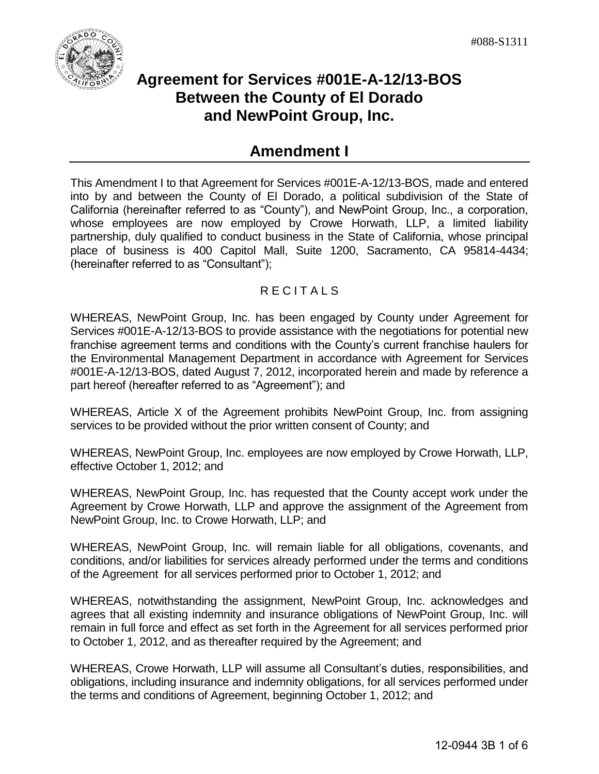

# **Agreement for Services #001E-A-12/13-BOS Between the County of El Dorado and NewPoint Group, Inc.**

# **Amendment I**

This Amendment I to that Agreement for Services #001E-A-12/13-BOS, made and entered into by and between the County of El Dorado, a political subdivision of the State of California (hereinafter referred to as "County"), and NewPoint Group, Inc., a corporation, whose employees are now employed by Crowe Horwath, LLP, a limited liability partnership, duly qualified to conduct business in the State of California, whose principal place of business is 400 Capitol Mall, Suite 1200, Sacramento, CA 95814-4434; (hereinafter referred to as "Consultant");

### **RECITALS**

WHEREAS, NewPoint Group, Inc. has been engaged by County under Agreement for Services #001E-A-12/13-BOS to provide assistance with the negotiations for potential new franchise agreement terms and conditions with the County's current franchise haulers for the Environmental Management Department in accordance with Agreement for Services #001E-A-12/13-BOS, dated August 7, 2012, incorporated herein and made by reference a part hereof (hereafter referred to as "Agreement"); and

WHEREAS, Article X of the Agreement prohibits NewPoint Group, Inc. from assigning services to be provided without the prior written consent of County; and

WHEREAS, NewPoint Group, Inc. employees are now employed by Crowe Horwath, LLP, effective October 1, 2012; and

WHEREAS, NewPoint Group, Inc. has requested that the County accept work under the Agreement by Crowe Horwath, LLP and approve the assignment of the Agreement from NewPoint Group, Inc. to Crowe Horwath, LLP; and

WHEREAS, NewPoint Group, Inc. will remain liable for all obligations, covenants, and conditions, and/or liabilities for services already performed under the terms and conditions of the Agreement for all services performed prior to October 1, 2012; and

WHEREAS, notwithstanding the assignment, NewPoint Group, Inc. acknowledges and agrees that all existing indemnity and insurance obligations of NewPoint Group, Inc. will remain in full force and effect as set forth in the Agreement for all services performed prior to October 1, 2012, and as thereafter required by the Agreement; and

WHEREAS, Crowe Horwath, LLP will assume all Consultant's duties, responsibilities, and obligations, including insurance and indemnity obligations, for all services performed under the terms and conditions of Agreement, beginning October 1, 2012; and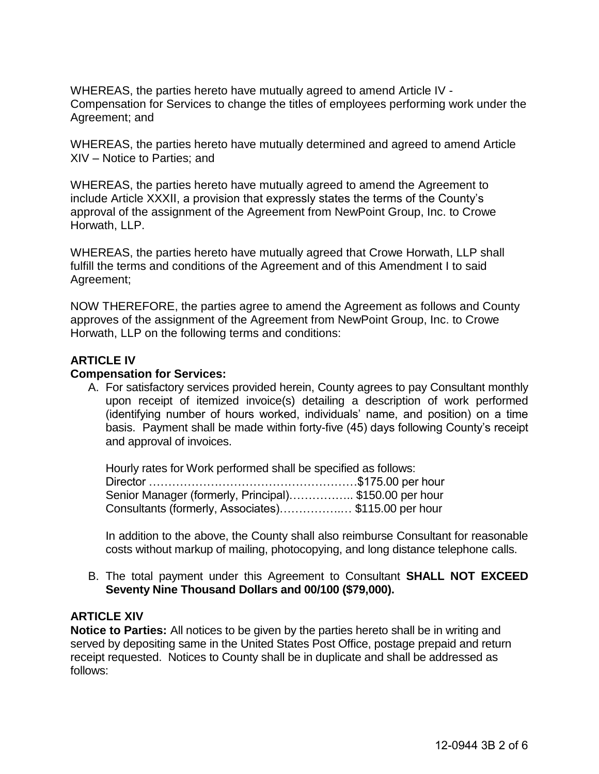WHEREAS, the parties hereto have mutually agreed to amend Article IV - Compensation for Services to change the titles of employees performing work under the Agreement; and

WHEREAS, the parties hereto have mutually determined and agreed to amend Article XIV – Notice to Parties; and

WHEREAS, the parties hereto have mutually agreed to amend the Agreement to include Article XXXII, a provision that expressly states the terms of the County's approval of the assignment of the Agreement from NewPoint Group, Inc. to Crowe Horwath, LLP.

WHEREAS, the parties hereto have mutually agreed that Crowe Horwath, LLP shall fulfill the terms and conditions of the Agreement and of this Amendment I to said Agreement;

NOW THEREFORE, the parties agree to amend the Agreement as follows and County approves of the assignment of the Agreement from NewPoint Group, Inc. to Crowe Horwath, LLP on the following terms and conditions:

#### **ARTICLE IV**

#### **Compensation for Services:**

A. For satisfactory services provided herein, County agrees to pay Consultant monthly upon receipt of itemized invoice(s) detailing a description of work performed (identifying number of hours worked, individuals' name, and position) on a time basis. Payment shall be made within forty-five (45) days following County's receipt and approval of invoices.

 Hourly rates for Work performed shall be specified as follows: Director ………………………………………………\$175.00 per hour Senior Manager (formerly, Principal)................ \$150.00 per hour Consultants (formerly, Associates)…………….… \$115.00 per hour

In addition to the above, the County shall also reimburse Consultant for reasonable costs without markup of mailing, photocopying, and long distance telephone calls.

B. The total payment under this Agreement to Consultant **SHALL NOT EXCEED Seventy Nine Thousand Dollars and 00/100 (\$79,000).**

#### **ARTICLE XIV**

**Notice to Parties:** All notices to be given by the parties hereto shall be in writing and served by depositing same in the United States Post Office, postage prepaid and return receipt requested. Notices to County shall be in duplicate and shall be addressed as follows: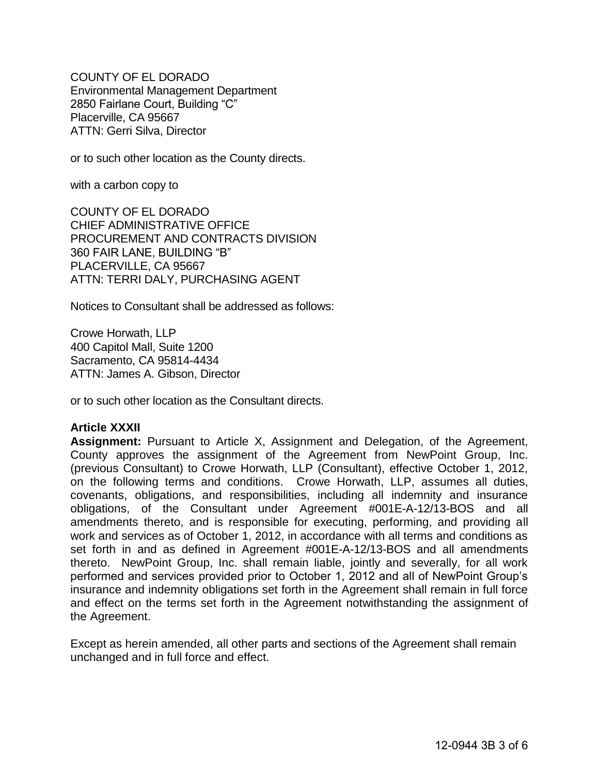COUNTY OF EL DORADO Environmental Management Department 2850 Fairlane Court, Building "C" Placerville, CA 95667 ATTN: Gerri Silva, Director

or to such other location as the County directs.

with a carbon copy to

COUNTY OF EL DORADO CHIEF ADMINISTRATIVE OFFICE PROCUREMENT AND CONTRACTS DIVISION 360 FAIR LANE, BUILDING "B" PLACERVILLE, CA 95667 ATTN: TERRI DALY, PURCHASING AGENT

Notices to Consultant shall be addressed as follows:

Crowe Horwath, LLP 400 Capitol Mall, Suite 1200 Sacramento, CA 95814-4434 ATTN: James A. Gibson, Director

or to such other location as the Consultant directs.

#### **Article XXXII**

**Assignment:** Pursuant to Article X, Assignment and Delegation, of the Agreement, County approves the assignment of the Agreement from NewPoint Group, Inc. (previous Consultant) to Crowe Horwath, LLP (Consultant), effective October 1, 2012, on the following terms and conditions. Crowe Horwath, LLP, assumes all duties, covenants, obligations, and responsibilities, including all indemnity and insurance obligations, of the Consultant under Agreement #001E-A-12/13-BOS and all amendments thereto, and is responsible for executing, performing, and providing all work and services as of October 1, 2012, in accordance with all terms and conditions as set forth in and as defined in Agreement #001E-A-12/13-BOS and all amendments thereto. NewPoint Group, Inc. shall remain liable, jointly and severally, for all work performed and services provided prior to October 1, 2012 and all of NewPoint Group's insurance and indemnity obligations set forth in the Agreement shall remain in full force and effect on the terms set forth in the Agreement notwithstanding the assignment of the Agreement.

Except as herein amended, all other parts and sections of the Agreement shall remain unchanged and in full force and effect.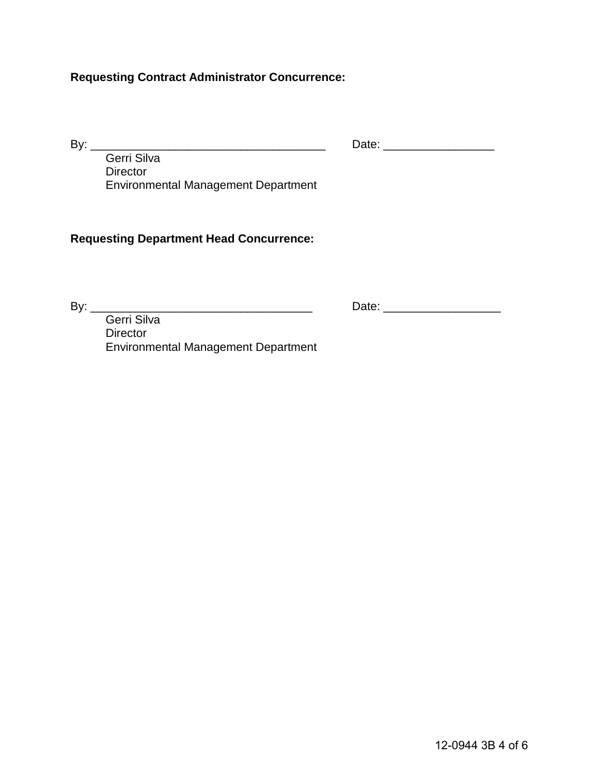## **Requesting Contract Administrator Concurrence:**

By: \_\_\_\_\_\_\_\_\_\_\_\_\_\_\_\_\_\_\_\_\_\_\_\_\_\_\_\_\_\_\_\_\_\_\_\_ Date: \_\_\_\_\_\_\_\_\_\_\_\_\_\_\_\_\_

 Gerri Silva **Director** Environmental Management Department

#### **Requesting Department Head Concurrence:**

By: \_\_\_\_\_\_\_\_\_\_\_\_\_\_\_\_\_\_\_\_\_\_\_\_\_\_\_\_\_\_\_\_\_\_ Date: \_\_\_\_\_\_\_\_\_\_\_\_\_\_\_\_\_\_

 Gerri Silva Director Environmental Management Department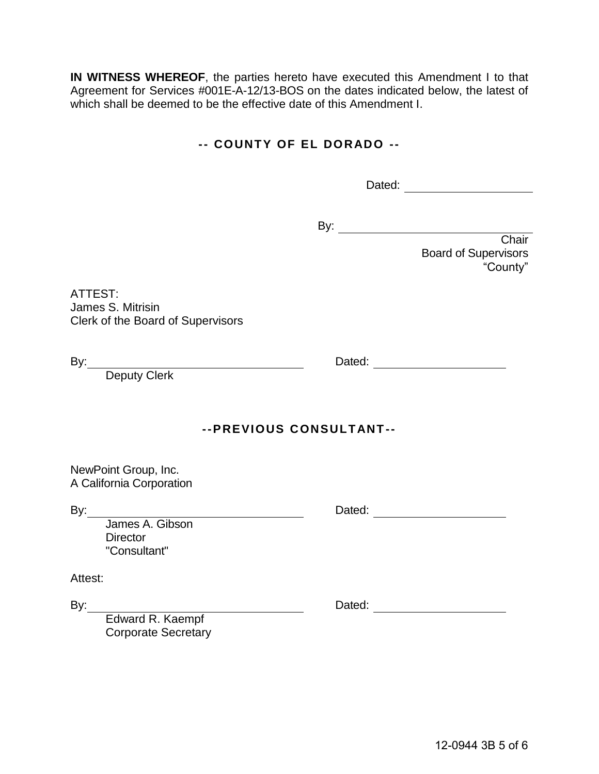**IN WITNESS WHEREOF**, the parties hereto have executed this Amendment I to that Agreement for Services #001E-A-12/13-BOS on the dates indicated below, the latest of which shall be deemed to be the effective date of this Amendment I.

### **-- COUNTY OF EL DORADO --**

Dated:

By:

Chair Board of Supervisors "County"

ATTEST: James S. Mitrisin Clerk of the Board of Supervisors

Deputy Clerk

## **--PREVIOUS CONSULTANT--**

NewPoint Group, Inc. A California Corporation

By: Dated:

 James A. Gibson **Director** "Consultant"

Attest:

By: <u>Dated:</u> Dated: <u>Dated:</u> Dated: 2009.

 Edward R. Kaempf Corporate Secretary

By: <u>Dated:</u> Dated: 2008.